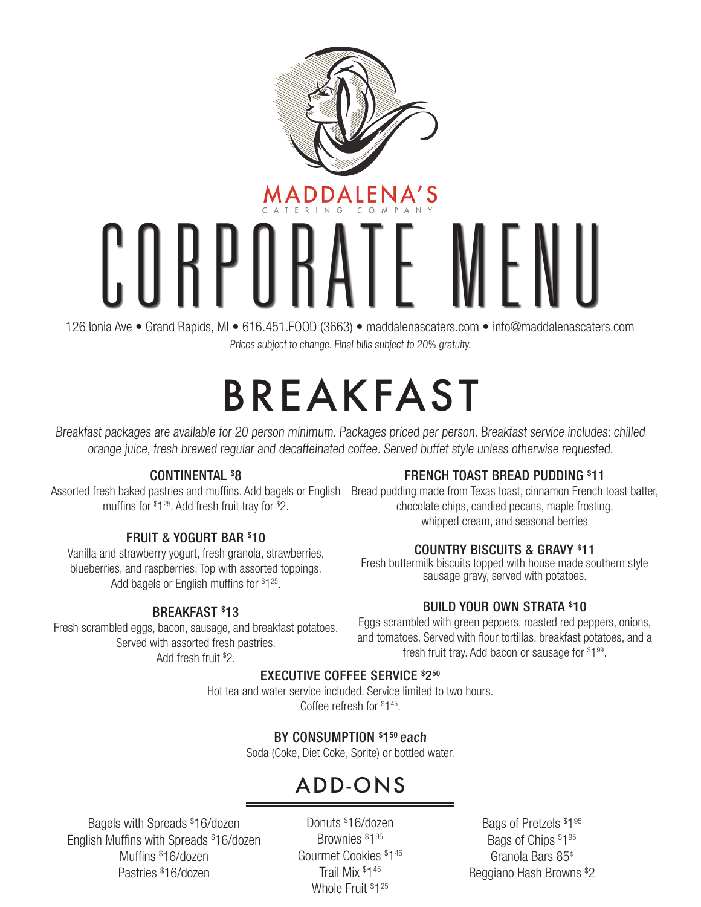

# CORPORATE

126 Ionia Ave • Grand Rapids, MI • 616.451.FOOD (3663) • maddalenascaters.com • info@maddalenascaters.com Prices subject to change. Final bills subject to 20% gratuity.

# BREAKFAST

Breakfast packages are available for 20 person minimum. Packages priced per person. Breakfast service includes: chilled orange juice, fresh brewed regular and decaffeinated coffee. Served buffet style unless otherwise requested.

#### CONTINENTAL \$8

muffins for \$1<sup>25</sup>. Add fresh fruit tray for \$2.

#### FRUIT & YOGURT BAR \$ 10

Vanilla and strawberry yogurt, fresh granola, strawberries, blueberries, and raspberries. Top with assorted toppings. Add bagels or English muffins for \$1<sup>25</sup>.

#### BREAKFAST \$ 13

Fresh scrambled eggs, bacon, sausage, and breakfast potatoes. Served with assorted fresh pastries. Add fresh fruit \$ 2.

#### FRENCH TOAST BREAD PUDDING \$ 11

Assorted fresh baked pastries and muffins. Add bagels or English Bread pudding made from Texas toast, cinnamon French toast batter, chocolate chips, candied pecans, maple frosting, whipped cream, and seasonal berries

#### COUNTRY BISCUITS & GRAVY \$ 11

Fresh buttermilk biscuits topped with house made southern style sausage gravy, served with potatoes.

#### BUILD YOUR OWN STRATA \$ 10

Eggs scrambled with green peppers, roasted red peppers, onions, and tomatoes. Served with flour tortillas, breakfast potatoes, and a fresh fruit tray. Add bacon or sausage for \$1<sup>99</sup>.

#### EXECUTIVE COFFEE SERVICE \$250

Hot tea and water service included. Service limited to two hours. Coffee refresh for \$ 145.

#### BY CONSUMPTION \$150 each

Soda (Coke, Diet Coke, Sprite) or bottled water.

### ADD-ONS

Bagels with Spreads \$ 16/dozen English Muffins with Spreads \$ 16/dozen Muffins \$ 16/dozen Pastries \$ 16/dozen

Donuts \$ 16/dozen Brownies \$ 195 Gourmet Cookies \$ 145 Trail Mix \$ 145 Whole Fruit \$125

Bags of Pretzels \$1<sup>95</sup> Bags of Chips \$195 Granola Bars 85¢ Reggiano Hash Browns \$ 2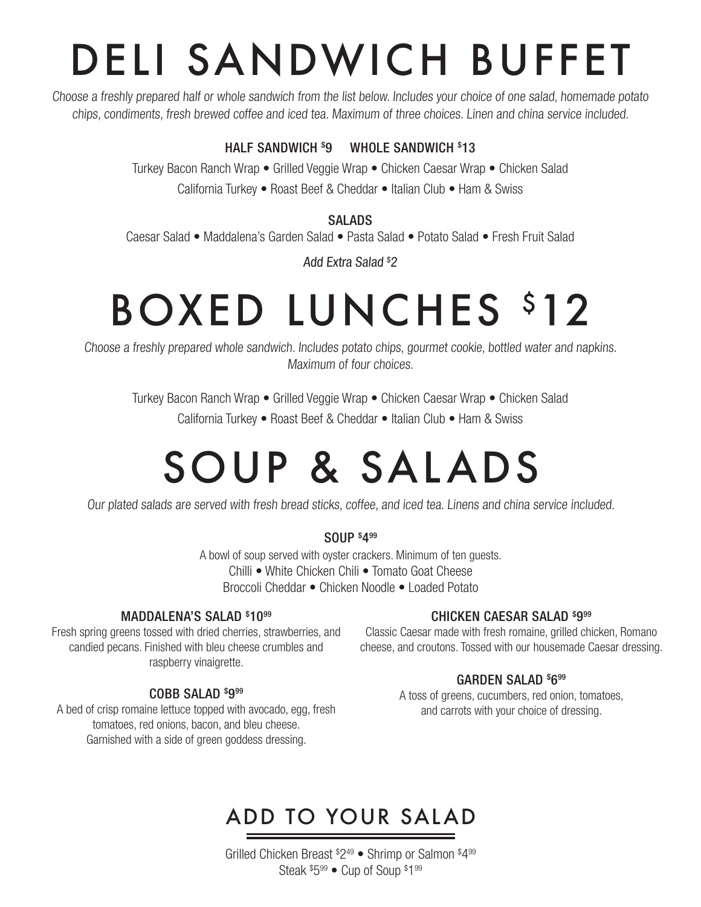# DELI SANDWICH BUFFET

Choose a freshly prepared half or whole sandwich from the list below. Includes your choice of one salad, homemade potato chips, condiments, fresh brewed coffee and iced tea. Maximum of three choices. Linen and china service included.

#### HALF SANDWICH \$ 9 WHOLE SANDWICH \$ 13

Turkey Bacon Ranch Wrap • Grilled Veggie Wrap • Chicken Caesar Wrap • Chicken Salad California Turkey • Roast Beef & Cheddar • Italian Club • Ham & Swiss

#### SALADS

Caesar Salad • Maddalena's Garden Salad • Pasta Salad • Potato Salad • Fresh Fruit Salad

Add Extra Salad \$ 2

# BOXED LUNCHES \$12

Choose a freshly prepared whole sandwich. Includes potato chips, gourmet cookie, bottled water and napkins. Maximum of four choices.

Turkey Bacon Ranch Wrap • Grilled Veggie Wrap • Chicken Caesar Wrap • Chicken Salad California Turkey • Roast Beef & Cheddar • Italian Club • Ham & Swiss

# SOUP & SALADS

Our plated salads are served with fresh bread sticks, coffee, and iced tea. Linens and china service included.

#### SOUP \$ 499

A bowl of soup served with oyster crackers. Minimum of ten guests. Chilli • White Chicken Chili • Tomato Goat Cheese Broccoli Cheddar • Chicken Noodle • Loaded Potato

#### MADDALENA'S SALAD \$1099

Fresh spring greens tossed with dried cherries, strawberries, and candied pecans. Finished with bleu cheese crumbles and raspberry vinaigrette.

#### COBB SALAD \$999

A bed of crisp romaine lettuce topped with avocado, egg, fresh tomatoes, red onions, bacon, and bleu cheese. Garnished with a side of green goddess dressing.

#### CHICKEN CAESAR SALAD \$999

Classic Caesar made with fresh romaine, grilled chicken, Romano cheese, and croutons. Tossed with our housemade Caesar dressing.

#### GARDEN SALAD \$ 699

A toss of greens, cucumbers, red onion, tomatoes, and carrots with your choice of dressing.

### ADD TO YOUR SALAD

Grilled Chicken Breast \$ 249 • Shrimp or Salmon \$ 499 Steak  $$5^{99}$   $\bullet$  Cup of Soup  $$1^{99}$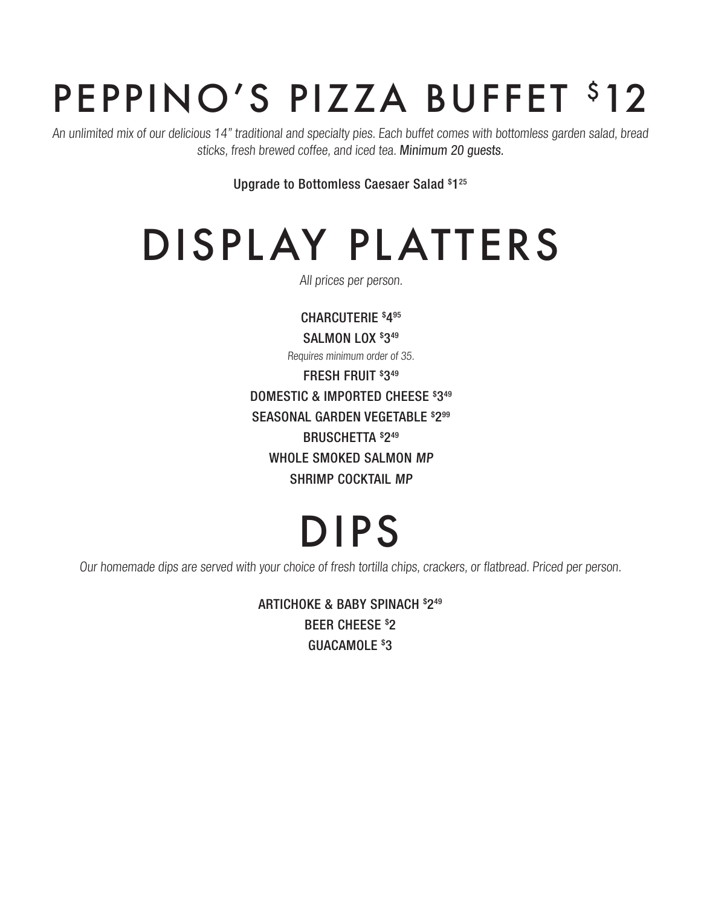# PEPPINO'S PIZZA BUFFET \$12

An unlimited mix of our delicious 14" traditional and specialty pies. Each buffet comes with bottomless garden salad, bread sticks, fresh brewed coffee, and iced tea. Minimum 20 guests.

Upgrade to Bottomless Caesaer Salad \$ 125

# DISPLAY PLATTERS

All prices per person.

CHARCUTERIE \$ 495 SALMON LOX \$349 Requires minimum order of 35. FRESH FRUIT \$ 349 DOMESTIC & IMPORTED CHEESE \$ 349 SEASONAL GARDEN VEGETABLE \$ 299 BRUSCHETTA \$ 249 WHOLE SMOKED SALMON MP SHRIMP COCKTAIL MP

# DIPS

Our homemade dips are served with your choice of fresh tortilla chips, crackers, or flatbread. Priced per person.

ARTICHOKE & BABY SPINACH \$ 249 BEER CHEESE \$ 2 GUACAMOLE<sup>\$3</sup>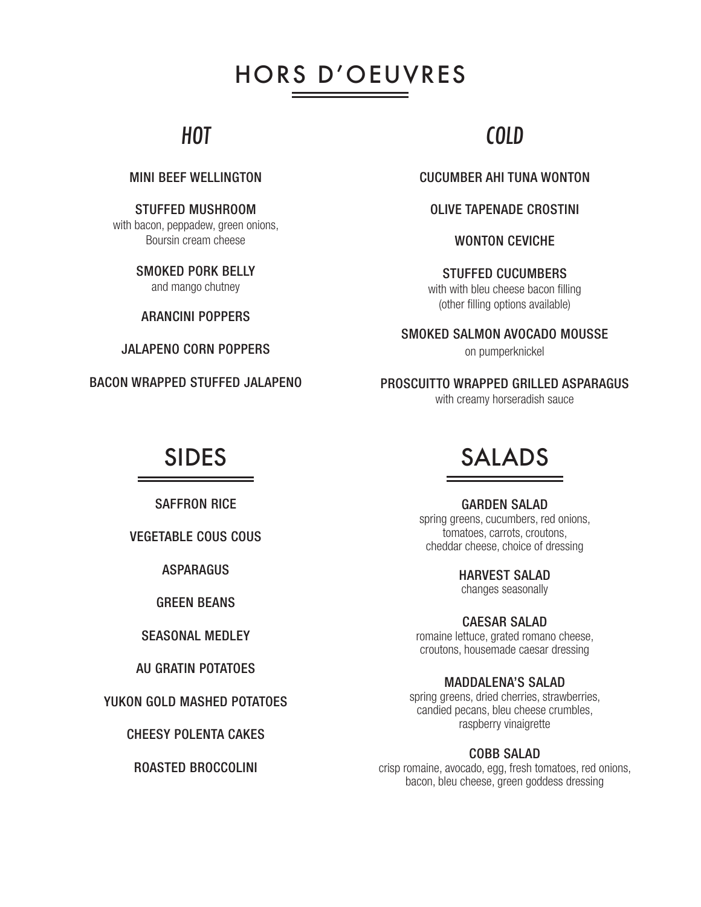### HORS D'OEUVRES

### HOT

#### MINI BEEF WELLINGTON

STUFFED MUSHROOM

with bacon, peppadew, green onions, Boursin cream cheese

> SMOKED PORK BELLY and mango chutney

ARANCINI POPPERS

JALAPENO CORN POPPERS

BACON WRAPPED STUFFED JALAPENO

### COLD

CUCUMBER AHI TUNA WONTON

OLIVE TAPENADE CROSTINI

WONTON CEVICHE

STUFFED CUCUMBERS with with bleu cheese bacon filling (other filling options available)

SMOKED SALMON AVOCADO MOUSSE

on pumperknickel

PROSCUITTO WRAPPED GRILLED ASPARAGUS with creamy horseradish sauce

SAFFRON RICE

VEGETABLE COUS COUS

**ASPARAGUS** 

GREEN BEANS

#### SEASONAL MEDLEY

AU GRATIN POTATOES

YUKON GOLD MASHED POTATOES

CHEESY POLENTA CAKES

ROASTED BROCCOLINI

### SIDES SALADS

GARDEN SALAD

spring greens, cucumbers, red onions, tomatoes, carrots, croutons, cheddar cheese, choice of dressing

HARVEST SALAD

changes seasonally

CAESAR SALAD romaine lettuce, grated romano cheese, croutons, housemade caesar dressing

#### MADDALENA'S SALAD

spring greens, dried cherries, strawberries, candied pecans, bleu cheese crumbles, raspberry vinaigrette

#### COBB SALAD

crisp romaine, avocado, egg, fresh tomatoes, red onions, bacon, bleu cheese, green goddess dressing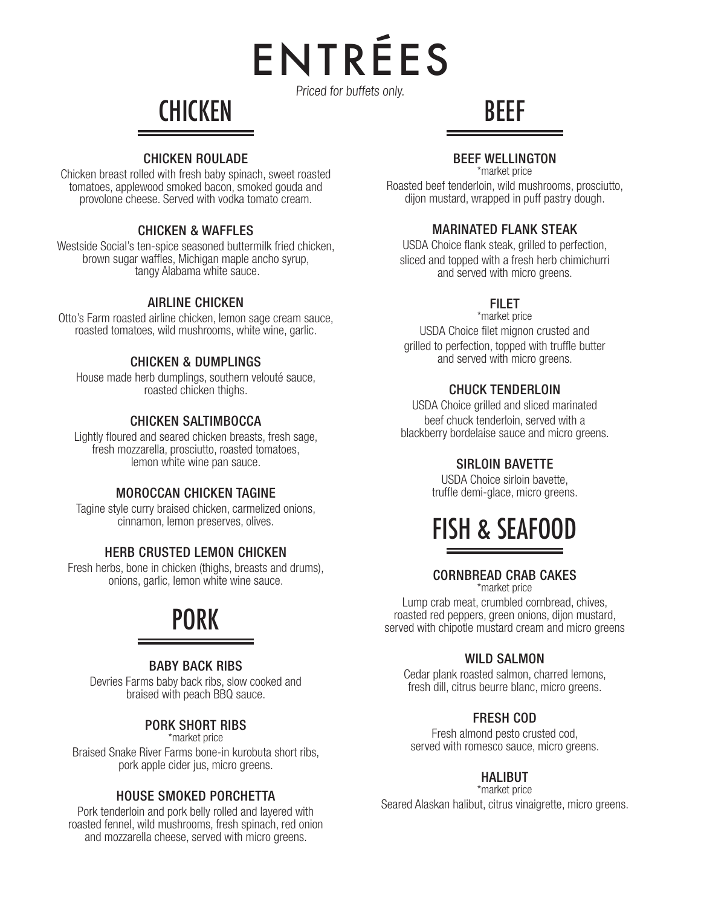ENTREES Priced for buffets only.

 $\blacktriangle$ 

**CHICKEN** 

#### CHICKEN ROULADE

Chicken breast rolled with fresh baby spinach, sweet roasted tomatoes, applewood smoked bacon, smoked gouda and provolone cheese. Served with vodka tomato cream.

#### CHICKEN & WAFFLES

Westside Social's ten-spice seasoned buttermilk fried chicken, brown sugar waffles, Michigan maple ancho syrup, tangy Alabama white sauce.

#### AIRLINE CHICKEN

Otto's Farm roasted airline chicken, lemon sage cream sauce, roasted tomatoes, wild mushrooms, white wine, garlic.

#### CHICKEN & DUMPLINGS

House made herb dumplings, southern velouté sauce, roasted chicken thighs.

#### CHICKEN SALTIMBOCCA

Lightly floured and seared chicken breasts, fresh sage, fresh mozzarella, prosciutto, roasted tomatoes, lemon white wine pan sauce.

#### MOROCCAN CHICKEN TAGINE

Tagine style curry braised chicken, carmelized onions, cinnamon, lemon preserves, olives.

#### HERB CRUSTED LEMON CHICKEN

Fresh herbs, bone in chicken (thighs, breasts and drums), onions, garlic, lemon white wine sauce.

### PORK

#### BABY BACK RIBS

Devries Farms baby back ribs, slow cooked and braised with peach BBQ sauce.

#### PORK SHORT RIBS

\*market price Braised Snake River Farms bone-in kurobuta short ribs, pork apple cider jus, micro greens.

#### HOUSE SMOKED PORCHETTA

Pork tenderloin and pork belly rolled and layered with roasted fennel, wild mushrooms, fresh spinach, red onion and mozzarella cheese, served with micro greens.

#### BEEF WELLINGTON \*market price

BEEF

Roasted beef tenderloin, wild mushrooms, prosciutto, dijon mustard, wrapped in puff pastry dough.

#### MARINATED FLANK STEAK

USDA Choice flank steak, grilled to perfection, sliced and topped with a fresh herb chimichurri and served with micro greens.

#### **FILET**

\*market price USDA Choice filet mignon crusted and grilled to perfection, topped with truffle butter and served with micro greens.

#### CHUCK TENDERLOIN

USDA Choice grilled and sliced marinated beef chuck tenderloin, served with a blackberry bordelaise sauce and micro greens.

#### SIRLOIN BAVETTE

USDA Choice sirloin bavette, truffle demi-glace, micro greens.



#### CORNBREAD CRAB CAKES \*market price

Lump crab meat, crumbled cornbread, chives, roasted red peppers, green onions, dijon mustard, served with chipotle mustard cream and micro greens

#### WILD SALMON

Cedar plank roasted salmon, charred lemons, fresh dill, citrus beurre blanc, micro greens.

#### FRESH COD

Fresh almond pesto crusted cod, served with romesco sauce, micro greens.

#### HALIBUT

\*market price

Seared Alaskan halibut, citrus vinaigrette, micro greens.